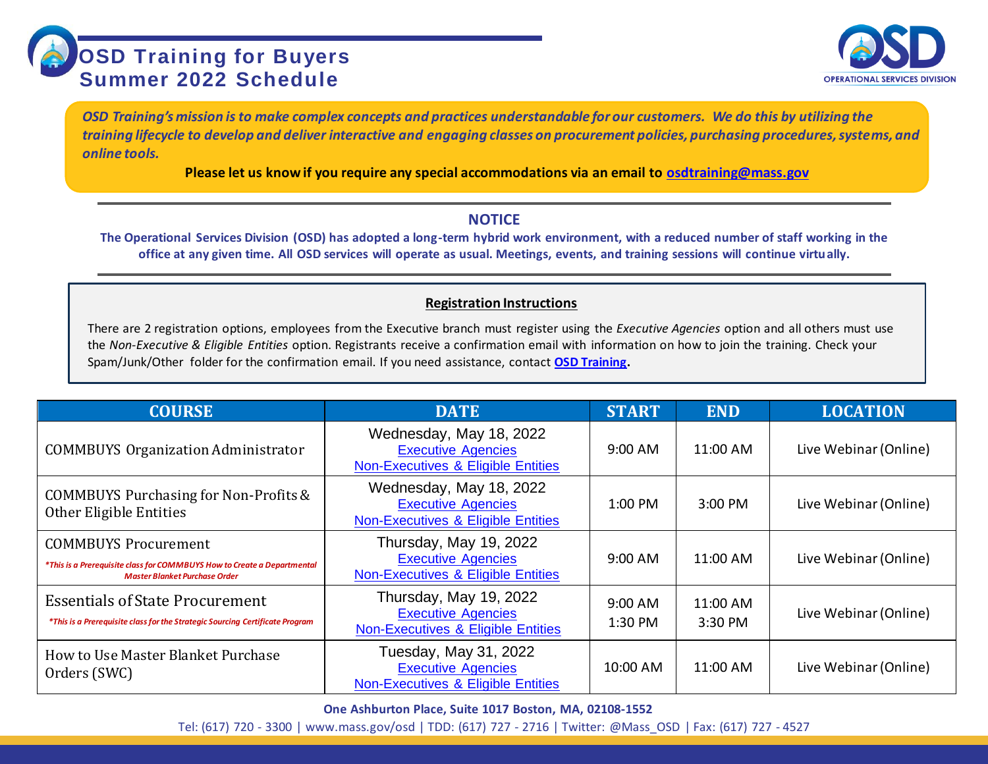

*OSD Training's mission is to make complex concepts and practices understandable for our customers. We do this by utilizing the training lifecycle to develop and deliver interactive and engaging classes on procurement policies, purchasing procedures, systems, and online tools.*

**Please let us know if you require any special accommodations via an email to [osdtraining@mass.gov](mailto:osdtraining@mass.gov)**

## **NOTICE**

**The Operational Services Division (OSD) has adopted a long-term hybrid work environment, with a reduced number of staff working in the office at any given time. All OSD services will operate as usual. Meetings, events, and training sessions will continue virtually.**

## **Registration Instructions**

There are 2 registration options, employees from the Executive branch must register using the *Executive Agencies* option and all others must use the *Non-Executive & Eligible Entities* option. Registrants receive a confirmation email with information on how to join the training. Check your Spam/Junk/Other folder for the confirmation email. If you need assistance, contact **[OSD Training.](mailto:osdtraining@mass.gov)**

| <b>COURSE</b>                                                                                                                                  | <b>DATE</b>                                                                                           | <b>START</b>         | <b>END</b>          | <b>LOCATION</b>       |
|------------------------------------------------------------------------------------------------------------------------------------------------|-------------------------------------------------------------------------------------------------------|----------------------|---------------------|-----------------------|
| <b>COMMBUYS Organization Administrator</b>                                                                                                     | Wednesday, May 18, 2022<br><b>Executive Agencies</b><br><b>Non-Executives &amp; Eligible Entities</b> | $9:00$ AM            | 11:00 AM            | Live Webinar (Online) |
| <b>COMMBUYS Purchasing for Non-Profits &amp;</b><br>Other Eligible Entities                                                                    | Wednesday, May 18, 2022<br><b>Executive Agencies</b><br>Non-Executives & Eligible Entities            | 1:00 PM              | $3:00$ PM           | Live Webinar (Online) |
| <b>COMMBUYS Procurement</b><br>*This is a Prerequisite class for COMMBUYS How to Create a Departmental<br><b>Master Blanket Purchase Order</b> | Thursday, May 19, 2022<br><b>Executive Agencies</b><br><b>Non-Executives &amp; Eligible Entities</b>  | $9:00$ AM            | 11:00 AM            | Live Webinar (Online) |
| <b>Essentials of State Procurement</b><br>*This is a Prerequisite class for the Strategic Sourcing Certificate Program                         | Thursday, May 19, 2022<br><b>Executive Agencies</b><br><b>Non-Executives &amp; Eligible Entities</b>  | $9:00$ AM<br>1:30 PM | 11:00 AM<br>3:30 PM | Live Webinar (Online) |
| How to Use Master Blanket Purchase<br>Orders (SWC)                                                                                             | Tuesday, May 31, 2022<br><b>Executive Agencies</b><br>Non-Executives & Eligible Entities              | 10:00 AM             | 11:00 AM            | Live Webinar (Online) |

**One Ashburton Place, Suite 1017 Boston, MA, 02108-1552**

Tel: (617) 720 - 3300 [| www.mass.gov/osd |](http://www.mass.gov/osd) TDD: (617) 727 - 2716 | Twitter: @Mass\_OSD | Fax: (617) 727 - 4527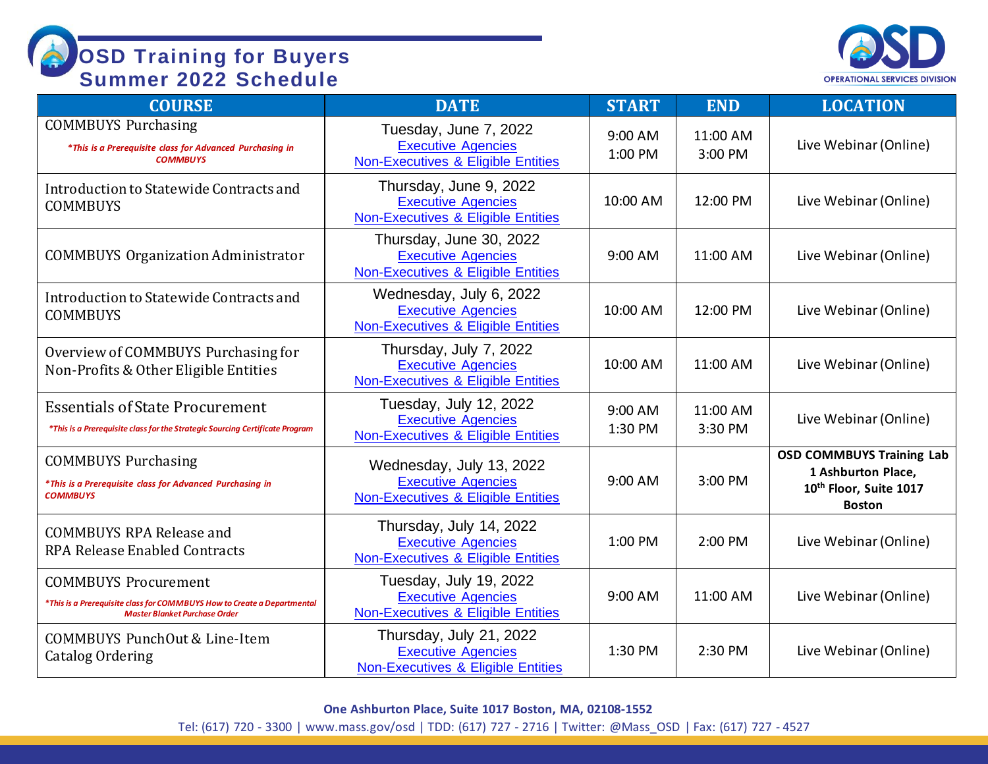

| <b>COURSE</b>                                                                                                                                  | <b>DATE</b>                                                                                           | <b>START</b>       | <b>END</b>          | <b>LOCATION</b>                                                                                               |
|------------------------------------------------------------------------------------------------------------------------------------------------|-------------------------------------------------------------------------------------------------------|--------------------|---------------------|---------------------------------------------------------------------------------------------------------------|
| <b>COMMBUYS Purchasing</b><br>*This is a Prerequisite class for Advanced Purchasing in<br><b>COMMBUYS</b>                                      | Tuesday, June 7, 2022<br><b>Executive Agencies</b><br>Non-Executives & Eligible Entities              | 9:00 AM<br>1:00 PM | 11:00 AM<br>3:00 PM | Live Webinar (Online)                                                                                         |
| Introduction to Statewide Contracts and<br><b>COMMBUYS</b>                                                                                     | Thursday, June 9, 2022<br><b>Executive Agencies</b><br>Non-Executives & Eligible Entities             | 10:00 AM           | 12:00 PM            | Live Webinar (Online)                                                                                         |
| <b>COMMBUYS Organization Administrator</b>                                                                                                     | Thursday, June 30, 2022<br><b>Executive Agencies</b><br><b>Non-Executives &amp; Eligible Entities</b> | 9:00 AM            | 11:00 AM            | Live Webinar (Online)                                                                                         |
| Introduction to Statewide Contracts and<br><b>COMMBUYS</b>                                                                                     | Wednesday, July 6, 2022<br><b>Executive Agencies</b><br>Non-Executives & Eligible Entities            | 10:00 AM           | 12:00 PM            | Live Webinar (Online)                                                                                         |
| Overview of COMMBUYS Purchasing for<br>Non-Profits & Other Eligible Entities                                                                   | Thursday, July 7, 2022<br><b>Executive Agencies</b><br><b>Non-Executives &amp; Eligible Entities</b>  | 10:00 AM           | 11:00 AM            | Live Webinar (Online)                                                                                         |
| <b>Essentials of State Procurement</b><br>*This is a Prerequisite class for the Strategic Sourcing Certificate Program                         | Tuesday, July 12, 2022<br><b>Executive Agencies</b><br><b>Non-Executives &amp; Eligible Entities</b>  | 9:00 AM<br>1:30 PM | 11:00 AM<br>3:30 PM | Live Webinar (Online)                                                                                         |
| <b>COMMBUYS Purchasing</b><br>*This is a Prerequisite class for Advanced Purchasing in<br><b>COMMBUYS</b>                                      | Wednesday, July 13, 2022<br><b>Executive Agencies</b><br>Non-Executives & Eligible Entities           | 9:00 AM            | 3:00 PM             | <b>OSD COMMBUYS Training Lab</b><br>1 Ashburton Place,<br>10 <sup>th</sup> Floor, Suite 1017<br><b>Boston</b> |
| <b>COMMBUYS RPA Release and</b><br><b>RPA Release Enabled Contracts</b>                                                                        | Thursday, July 14, 2022<br><b>Executive Agencies</b><br><b>Non-Executives &amp; Eligible Entities</b> | 1:00 PM            | 2:00 PM             | Live Webinar (Online)                                                                                         |
| <b>COMMBUYS Procurement</b><br>*This is a Prerequisite class for COMMBUYS How to Create a Departmental<br><b>Master Blanket Purchase Order</b> | Tuesday, July 19, 2022<br><b>Executive Agencies</b><br><b>Non-Executives &amp; Eligible Entities</b>  | 9:00 AM            | 11:00 AM            | Live Webinar (Online)                                                                                         |
| COMMBUYS PunchOut & Line-Item<br>Catalog Ordering                                                                                              | Thursday, July 21, 2022<br><b>Executive Agencies</b><br><b>Non-Executives &amp; Eligible Entities</b> | 1:30 PM            | 2:30 PM             | Live Webinar (Online)                                                                                         |

**One Ashburton Place, Suite 1017 Boston, MA, 02108-1552**

Tel: (617) 720 - 3300 [| www.mass.gov/osd |](http://www.mass.gov/osd) TDD: (617) 727 - 2716 | Twitter: @Mass\_OSD | Fax: (617) 727 - 4527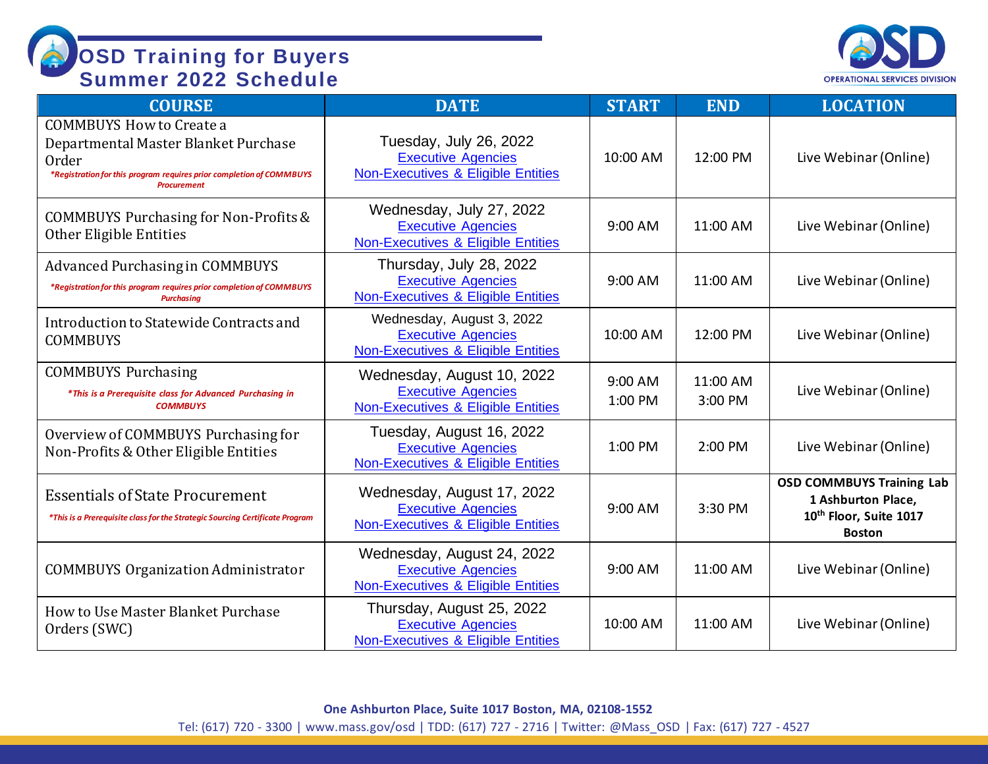

| <b>COURSE</b>                                                                                                                                                                  | <b>DATE</b>                                                                                              | <b>START</b>       | <b>END</b>          | <b>LOCATION</b>                                                                                               |
|--------------------------------------------------------------------------------------------------------------------------------------------------------------------------------|----------------------------------------------------------------------------------------------------------|--------------------|---------------------|---------------------------------------------------------------------------------------------------------------|
| <b>COMMBUYS How to Create a</b><br>Departmental Master Blanket Purchase<br>Order<br>*Registration for this program requires prior completion of COMMBUYS<br><b>Procurement</b> | Tuesday, July 26, 2022<br><b>Executive Agencies</b><br><b>Non-Executives &amp; Eligible Entities</b>     | 10:00 AM           | 12:00 PM            | Live Webinar (Online)                                                                                         |
| <b>COMMBUYS Purchasing for Non-Profits &amp;</b><br>Other Eligible Entities                                                                                                    | Wednesday, July 27, 2022<br><b>Executive Agencies</b><br>Non-Executives & Eligible Entities              | 9:00 AM            | 11:00 AM            | Live Webinar (Online)                                                                                         |
| <b>Advanced Purchasing in COMMBUYS</b><br>*Registration for this program requires prior completion of COMMBUYS<br><b>Purchasing</b>                                            | Thursday, July 28, 2022<br><b>Executive Agencies</b><br><b>Non-Executives &amp; Eligible Entities</b>    | 9:00 AM            | 11:00 AM            | Live Webinar (Online)                                                                                         |
| Introduction to Statewide Contracts and<br><b>COMMBUYS</b>                                                                                                                     | Wednesday, August 3, 2022<br><b>Executive Agencies</b><br>Non-Executives & Eligible Entities             | 10:00 AM           | 12:00 PM            | Live Webinar (Online)                                                                                         |
| <b>COMMBUYS Purchasing</b><br>*This is a Prerequisite class for Advanced Purchasing in<br><b>COMMBUYS</b>                                                                      | Wednesday, August 10, 2022<br><b>Executive Agencies</b><br>Non-Executives & Eligible Entities            | 9:00 AM<br>1:00 PM | 11:00 AM<br>3:00 PM | Live Webinar (Online)                                                                                         |
| Overview of COMMBUYS Purchasing for<br>Non-Profits & Other Eligible Entities                                                                                                   | Tuesday, August 16, 2022<br><b>Executive Agencies</b><br>Non-Executives & Eligible Entities              | 1:00 PM            | 2:00 PM             | Live Webinar (Online)                                                                                         |
| <b>Essentials of State Procurement</b><br>*This is a Prerequisite class for the Strategic Sourcing Certificate Program                                                         | Wednesday, August 17, 2022<br><b>Executive Agencies</b><br>Non-Executives & Eligible Entities            | 9:00 AM            | 3:30 PM             | <b>OSD COMMBUYS Training Lab</b><br>1 Ashburton Place,<br>10 <sup>th</sup> Floor, Suite 1017<br><b>Boston</b> |
| <b>COMMBUYS Organization Administrator</b>                                                                                                                                     | Wednesday, August 24, 2022<br><b>Executive Agencies</b><br><b>Non-Executives &amp; Eligible Entities</b> | 9:00 AM            | 11:00 AM            | Live Webinar (Online)                                                                                         |
| How to Use Master Blanket Purchase<br>Orders (SWC)                                                                                                                             | Thursday, August 25, 2022<br><b>Executive Agencies</b><br><b>Non-Executives &amp; Eligible Entities</b>  | 10:00 AM           | 11:00 AM            | Live Webinar (Online)                                                                                         |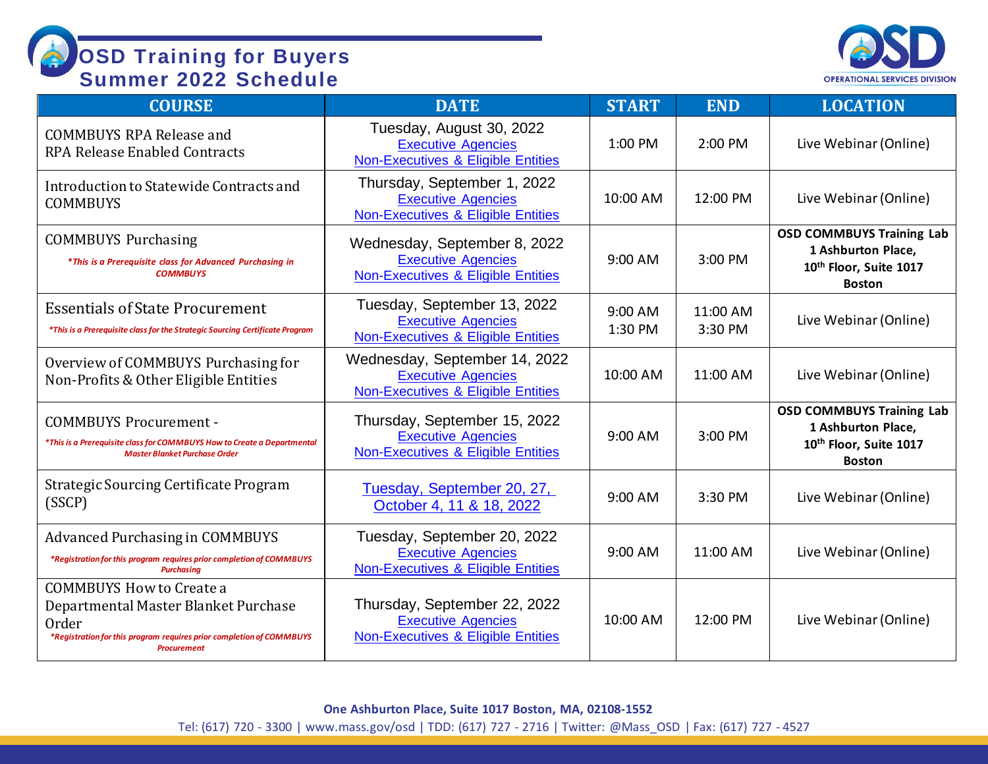

| <b>COURSE</b>                                                                                                                                                                  | <b>DATE</b>                                                                                                | <b>START</b>       | <b>END</b>          | <b>LOCATION</b>                                                                                   |
|--------------------------------------------------------------------------------------------------------------------------------------------------------------------------------|------------------------------------------------------------------------------------------------------------|--------------------|---------------------|---------------------------------------------------------------------------------------------------|
| <b>COMMBUYS RPA Release and</b><br><b>RPA Release Enabled Contracts</b>                                                                                                        | Tuesday, August 30, 2022<br><b>Executive Agencies</b><br><b>Non-Executives &amp; Eligible Entities</b>     | 1:00 PM            | 2:00 PM             | Live Webinar (Online)                                                                             |
| Introduction to Statewide Contracts and<br><b>COMMBUYS</b>                                                                                                                     | Thursday, September 1, 2022<br><b>Executive Agencies</b><br><b>Non-Executives &amp; Eligible Entities</b>  | 10:00 AM           | 12:00 PM            | Live Webinar (Online)                                                                             |
| <b>COMMBUYS Purchasing</b><br>*This is a Prerequisite class for Advanced Purchasing in<br><b>COMMBUYS</b>                                                                      | Wednesday, September 8, 2022<br><b>Executive Agencies</b><br><b>Non-Executives &amp; Eligible Entities</b> | 9:00 AM            | 3:00 PM             | <b>OSD COMMBUYS Training Lab</b><br>1 Ashburton Place,<br>10th Floor, Suite 1017<br><b>Boston</b> |
| <b>Essentials of State Procurement</b><br>*This is a Prerequisite class for the Strategic Sourcing Certificate Program                                                         | Tuesday, September 13, 2022<br><b>Executive Agencies</b><br><b>Non-Executives &amp; Eligible Entities</b>  | 9:00 AM<br>1:30 PM | 11:00 AM<br>3:30 PM | Live Webinar (Online)                                                                             |
| Overview of COMMBUYS Purchasing for<br>Non-Profits & Other Eligible Entities                                                                                                   | Wednesday, September 14, 2022<br><b>Executive Agencies</b><br>Non-Executives & Eligible Entities           | 10:00 AM           | 11:00 AM            | Live Webinar (Online)                                                                             |
| <b>COMMBUYS Procurement -</b><br>*This is a Prerequisite class for COMMBUYS How to Create a Departmental<br><b>Master Blanket Purchase Order</b>                               | Thursday, September 15, 2022<br><b>Executive Agencies</b><br>Non-Executives & Eligible Entities            | $9:00$ AM          | 3:00 PM             | <b>OSD COMMBUYS Training Lab</b><br>1 Ashburton Place,<br>10th Floor, Suite 1017<br><b>Boston</b> |
| <b>Strategic Sourcing Certificate Program</b><br>(SSCP)                                                                                                                        | Tuesday, September 20, 27,<br>October 4, 11 & 18, 2022                                                     | 9:00 AM            | 3:30 PM             | Live Webinar (Online)                                                                             |
| <b>Advanced Purchasing in COMMBUYS</b><br>*Registration for this program requires prior completion of COMMBUYS<br><b>Purchasina</b>                                            | Tuesday, September 20, 2022<br><b>Executive Agencies</b><br><b>Non-Executives &amp; Eligible Entities</b>  | 9:00 AM            | 11:00 AM            | Live Webinar (Online)                                                                             |
| <b>COMMBUYS How to Create a</b><br>Departmental Master Blanket Purchase<br>Order<br>*Registration for this program requires prior completion of COMMBUYS<br><b>Procurement</b> | Thursday, September 22, 2022<br><b>Executive Agencies</b><br>Non-Executives & Eligible Entities            | 10:00 AM           | 12:00 PM            | Live Webinar (Online)                                                                             |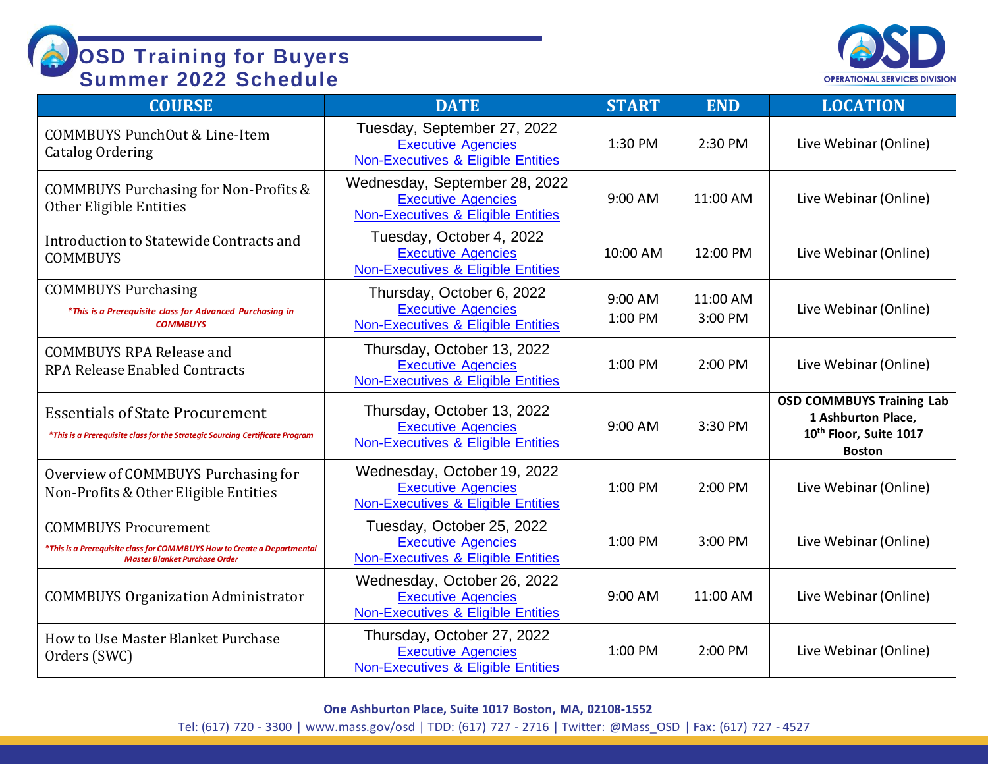

| <b>COURSE</b>                                                                                                                                  | <b>DATE</b>                                                                                               | <b>START</b>       | <b>END</b>          | <b>LOCATION</b>                                                                                   |
|------------------------------------------------------------------------------------------------------------------------------------------------|-----------------------------------------------------------------------------------------------------------|--------------------|---------------------|---------------------------------------------------------------------------------------------------|
| COMMBUYS PunchOut & Line-Item<br><b>Catalog Ordering</b>                                                                                       | Tuesday, September 27, 2022<br><b>Executive Agencies</b><br><b>Non-Executives &amp; Eligible Entities</b> | 1:30 PM            | 2:30 PM             | Live Webinar (Online)                                                                             |
| <b>COMMBUYS Purchasing for Non-Profits &amp;</b><br>Other Eligible Entities                                                                    | Wednesday, September 28, 2022<br><b>Executive Agencies</b><br>Non-Executives & Eligible Entities          | 9:00 AM            | 11:00 AM            | Live Webinar (Online)                                                                             |
| Introduction to Statewide Contracts and<br><b>COMMBUYS</b>                                                                                     | Tuesday, October 4, 2022<br><b>Executive Agencies</b><br>Non-Executives & Eligible Entities               | 10:00 AM           | 12:00 PM            | Live Webinar (Online)                                                                             |
| <b>COMMBUYS Purchasing</b><br>*This is a Prerequisite class for Advanced Purchasing in<br><b>COMMBUYS</b>                                      | Thursday, October 6, 2022<br><b>Executive Agencies</b><br>Non-Executives & Eligible Entities              | 9:00 AM<br>1:00 PM | 11:00 AM<br>3:00 PM | Live Webinar (Online)                                                                             |
| <b>COMMBUYS RPA Release and</b><br><b>RPA Release Enabled Contracts</b>                                                                        | Thursday, October 13, 2022<br><b>Executive Agencies</b><br>Non-Executives & Eligible Entities             | 1:00 PM            | 2:00 PM             | Live Webinar (Online)                                                                             |
| <b>Essentials of State Procurement</b><br>*This is a Prerequisite class for the Strategic Sourcing Certificate Program                         | Thursday, October 13, 2022<br><b>Executive Agencies</b><br>Non-Executives & Eligible Entities             | 9:00 AM            | 3:30 PM             | <b>OSD COMMBUYS Training Lab</b><br>1 Ashburton Place,<br>10th Floor, Suite 1017<br><b>Boston</b> |
| Overview of COMMBUYS Purchasing for<br>Non-Profits & Other Eligible Entities                                                                   | Wednesday, October 19, 2022<br><b>Executive Agencies</b><br><b>Non-Executives &amp; Eligible Entities</b> | 1:00 PM            | 2:00 PM             | Live Webinar (Online)                                                                             |
| <b>COMMBUYS Procurement</b><br>*This is a Prerequisite class for COMMBUYS How to Create a Departmental<br><b>Master Blanket Purchase Order</b> | Tuesday, October 25, 2022<br><b>Executive Agencies</b><br>Non-Executives & Eligible Entities              | 1:00 PM            | 3:00 PM             | Live Webinar (Online)                                                                             |
| <b>COMMBUYS Organization Administrator</b>                                                                                                     | Wednesday, October 26, 2022<br><b>Executive Agencies</b><br>Non-Executives & Eligible Entities            | 9:00 AM            | 11:00 AM            | Live Webinar (Online)                                                                             |
| How to Use Master Blanket Purchase<br>Orders (SWC)                                                                                             | Thursday, October 27, 2022<br><b>Executive Agencies</b><br>Non-Executives & Eligible Entities             | 1:00 PM            | 2:00 PM             | Live Webinar (Online)                                                                             |

**One Ashburton Place, Suite 1017 Boston, MA, 02108-1552**

Tel: (617) 720 - 3300 [| www.mass.gov/osd |](http://www.mass.gov/osd) TDD: (617) 727 - 2716 | Twitter: @Mass\_OSD | Fax: (617) 727 - 4527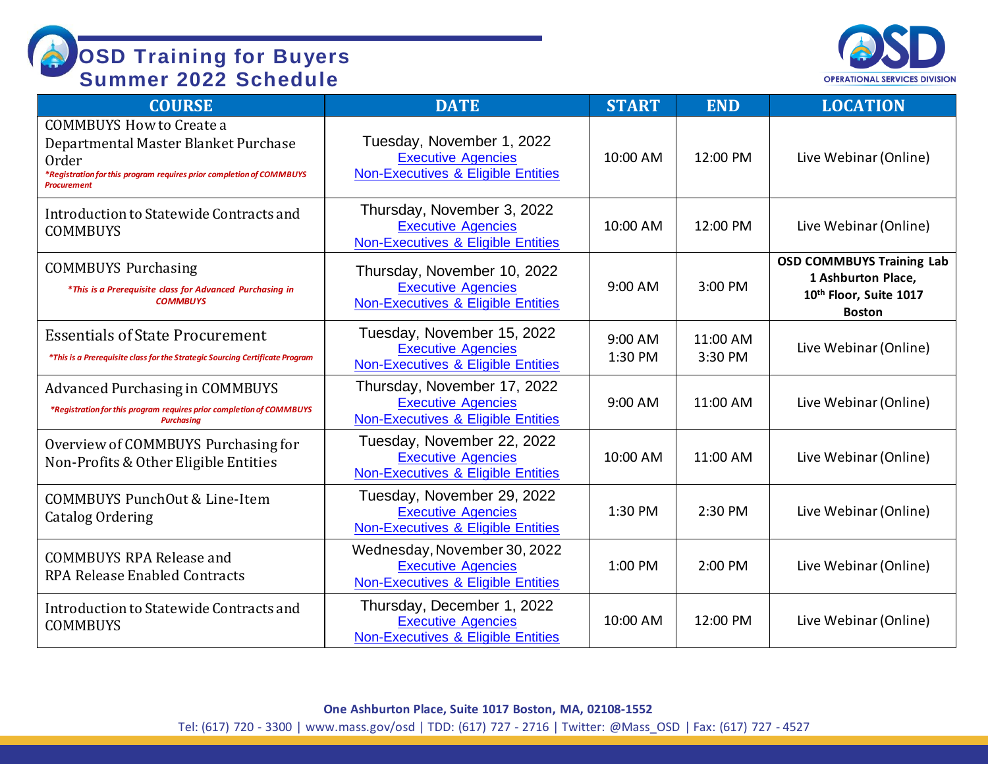

| <b>COURSE</b>                                                                                                                                                                  | <b>DATE</b>                                                                                              | <b>START</b>       | <b>END</b>          | <b>LOCATION</b>                                                                                   |
|--------------------------------------------------------------------------------------------------------------------------------------------------------------------------------|----------------------------------------------------------------------------------------------------------|--------------------|---------------------|---------------------------------------------------------------------------------------------------|
| <b>COMMBUYS How to Create a</b><br>Departmental Master Blanket Purchase<br>Order<br>*Registration for this program requires prior completion of COMMBUYS<br><b>Procurement</b> | Tuesday, November 1, 2022<br><b>Executive Agencies</b><br>Non-Executives & Eligible Entities             | 10:00 AM           | 12:00 PM            | Live Webinar (Online)                                                                             |
| Introduction to Statewide Contracts and<br><b>COMMBUYS</b>                                                                                                                     | Thursday, November 3, 2022<br><b>Executive Agencies</b><br><b>Non-Executives &amp; Eligible Entities</b> | 10:00 AM           | 12:00 PM            | Live Webinar (Online)                                                                             |
| <b>COMMBUYS Purchasing</b><br>*This is a Prerequisite class for Advanced Purchasing in<br><b>COMMBUYS</b>                                                                      | Thursday, November 10, 2022<br><b>Executive Agencies</b><br>Non-Executives & Eligible Entities           | 9:00 AM            | 3:00 PM             | <b>OSD COMMBUYS Training Lab</b><br>1 Ashburton Place,<br>10th Floor, Suite 1017<br><b>Boston</b> |
| <b>Essentials of State Procurement</b><br>*This is a Prerequisite class for the Strategic Sourcing Certificate Program                                                         | Tuesday, November 15, 2022<br><b>Executive Agencies</b><br><b>Non-Executives &amp; Eligible Entities</b> | 9:00 AM<br>1:30 PM | 11:00 AM<br>3:30 PM | Live Webinar (Online)                                                                             |
| <b>Advanced Purchasing in COMMBUYS</b><br>*Registration for this program requires prior completion of COMMBUYS<br><b>Purchasing</b>                                            | Thursday, November 17, 2022<br><b>Executive Agencies</b><br>Non-Executives & Eligible Entities           | 9:00 AM            | 11:00 AM            | Live Webinar (Online)                                                                             |
| Overview of COMMBUYS Purchasing for<br>Non-Profits & Other Eligible Entities                                                                                                   | Tuesday, November 22, 2022<br><b>Executive Agencies</b><br>Non-Executives & Eligible Entities            | 10:00 AM           | 11:00 AM            | Live Webinar (Online)                                                                             |
| COMMBUYS PunchOut & Line-Item<br><b>Catalog Ordering</b>                                                                                                                       | Tuesday, November 29, 2022<br><b>Executive Agencies</b><br>Non-Executives & Eligible Entities            | 1:30 PM            | 2:30 PM             | Live Webinar (Online)                                                                             |
| <b>COMMBUYS RPA Release and</b><br><b>RPA Release Enabled Contracts</b>                                                                                                        | Wednesday, November 30, 2022<br><b>Executive Agencies</b><br>Non-Executives & Eligible Entities          | 1:00 PM            | 2:00 PM             | Live Webinar (Online)                                                                             |
| Introduction to Statewide Contracts and<br><b>COMMBUYS</b>                                                                                                                     | Thursday, December 1, 2022<br><b>Executive Agencies</b><br><b>Non-Executives &amp; Eligible Entities</b> | 10:00 AM           | 12:00 PM            | Live Webinar (Online)                                                                             |